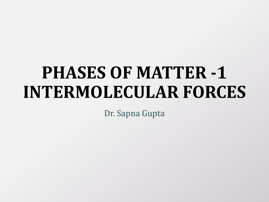# **PHASES OF MATTER -1 INTERMOLECULAR FORCES**

Dr. Sapna Gupta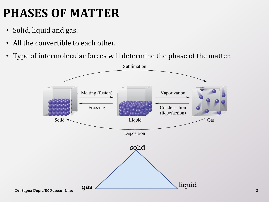# **PHASES OF MATTER**

- Solid, liquid and gas.
- All the convertible to each other.
- Type of intermolecular forces will determine the phase of the matter.

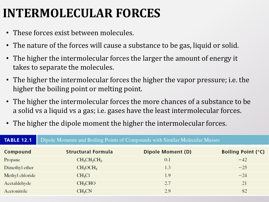#### **INTERMOLECULAR FORCES**

- These forces exist between molecules.
- The nature of the forces will cause a substance to be gas, liquid or solid.
- The higher the intermolecular forces the larger the amount of energy it takes to separate the molecules.
- The higher the intermolecular forces the higher the vapor pressure; i.e. the higher the boiling point or melting point.
- The higher the intermolecular forces the more chances of a substance to be a solid vs a liquid vs a gas; i.e. gases have the least intermolecular forces.
- The higher the dipole moment the higher the intermolecular forces.

| <b>TABLE 12.1</b> | Dipole Moments and Boiling Points of Compounds with Similar Molecular Masses |                   |                           |  |
|-------------------|------------------------------------------------------------------------------|-------------------|---------------------------|--|
| Compound          | <b>Structural Formula</b>                                                    | Dipole Moment (D) | <b>Boiling Point (°C)</b> |  |
| Propane           | $CH_3CH_2CH_3$                                                               | 0.1               | $-42$                     |  |
| Dimethyl ether    | CH <sub>3</sub> OCH <sub>3</sub>                                             | 1.3               | $-25$                     |  |
| Methyl chloride   | CH <sub>3</sub> Cl                                                           | 1.9               | $-24$                     |  |
| Acetaldehyde      | CH <sub>3</sub> CHO                                                          | 2.7               | 21                        |  |
| Acetonitrile      | CH <sub>3</sub> CN                                                           | 2.9               | 82                        |  |
|                   |                                                                              |                   |                           |  |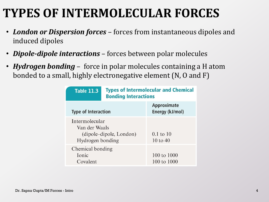#### **TYPES OF INTERMOLECULAR FORCES**

- *London or Dispersion forces* forces from instantaneous dipoles and induced dipoles
- *Dipole-dipole interactions* forces between polar molecules
- *Hydrogen bonding* force in polar molecules containing a H atom bonded to a small, highly electronegative element (N, O and F)

| <b>Table 11.3</b>                                                              | <b>Types of Intermolecular and Chemical</b><br><b>Bonding Interactions</b> |                                |  |
|--------------------------------------------------------------------------------|----------------------------------------------------------------------------|--------------------------------|--|
| <b>Type of Interaction</b>                                                     |                                                                            | Approximate<br>Energy (kJ/mol) |  |
| Intermolecular<br>Van der Waals<br>(dipole–dipole, London)<br>Hydrogen bonding | $0.1$ to $10$<br>$10 \text{ to } 40$                                       |                                |  |
| Chemical bonding<br>Ionic<br>Covalent                                          |                                                                            | 100 to 1000<br>100 to 1000     |  |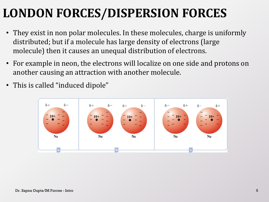# **LONDON FORCES/DISPERSION FORCES**

- They exist in non polar molecules. In these molecules, charge is uniformly distributed; but if a molecule has large density of electrons (large molecule) then it causes an unequal distribution of electrons.
- For example in neon, the electrons will localize on one side and protons on another causing an attraction with another molecule.
- This is called "induced dipole"

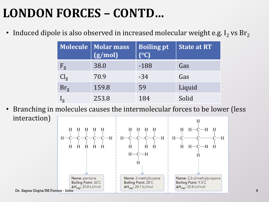## **LONDON FORCES – CONTD…**

• Induced dipole is also observed in increased molecular weight e.g.  $I_2$  vs  $Br_2$ 

|                       | Molecule   Molar mass<br>(g/mol) | <b>Boiling pt</b><br>(°C) | <b>State at RT</b> |
|-----------------------|----------------------------------|---------------------------|--------------------|
| $F_{2}$               | 38.0                             | $-188$                    | Gas                |
| $\operatorname{Cl}_2$ | 70.9                             | $-34$                     | Gas                |
| Br <sub>2</sub>       | 159.8                            | 59                        | Liquid             |
|                       | 253.8                            | 184                       | Solid              |

• Branching in molecules causes the intermolecular forces to be lower (less interaction)  $H$  $H$   $H$   $H$   $H$  $H$   $H$   $-C$   $-H$   $H$ H H H H H  $H-C -c - c - c - H$  $H-C-C-C-H$  $H-C$  $C-H$ H H H H H  $H$  $H$   $H$  $H$   $H-C-H$   $H$ 

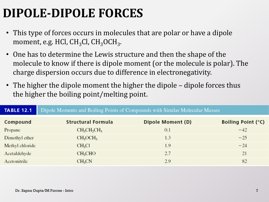# **DIPOLE-DIPOLE FORCES**

- This type of forces occurs in molecules that are polar or have a dipole moment, e.g. HCl,  $\rm CH_{3}Cl$ ,  $\rm CH_{3}OCH_{3}$ .
- One has to determine the Lewis structure and then the shape of the molecule to know if there is dipole moment (or the molecule is polar). The charge dispersion occurs due to difference in electronegativity.
- The higher the dipole moment the higher the dipole dipole forces thus the higher the boiling point/melting point.

Dipole Moments and Boiling Points of Compounds with Similar Molecular Masses

| Compound        | <b>Structural Formula</b>        | Dipole Moment (D) | <b>Boiling Point (°C)</b> |  |
|-----------------|----------------------------------|-------------------|---------------------------|--|
| Propane         | $CH_3CH_2CH_3$                   | 0.1               | $-42$                     |  |
| Dimethyl ether  | CH <sub>3</sub> OCH <sub>3</sub> | 1.3               | $-25$                     |  |
| Methyl chloride | CH <sub>3</sub> Cl               | 1.9               | $-24$                     |  |
| Acetaldehyde    | CH <sub>3</sub> CHO              | 2.7               | 21                        |  |
| Acetonitrile    | CH <sub>3</sub> CN               | 2.9               | 82                        |  |
|                 |                                  |                   |                           |  |

**TABLE 12.1**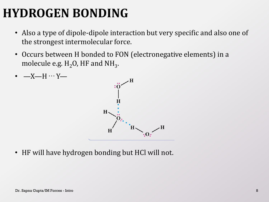# **HYDROGEN BONDING**

- Also a type of dipole-dipole interaction but very specific and also one of the strongest intermolecular force.
- Occurs between H bonded to FON (electronegative elements) in a molecule e.g.  $\rm H_2O$ , HF and N $\rm H_3$ .



• HF will have hydrogen bonding but HCl will not.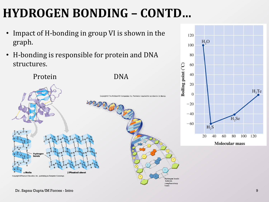# **HYDROGEN BONDING – CONTD…**

- Impact of H-bonding in group VI is shown in the graph.
- H-bonding is responsible for protein and DNA structures.



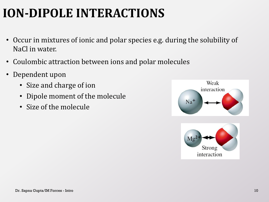## **ION-DIPOLE INTERACTIONS**

- Occur in mixtures of ionic and polar species e.g. during the solubility of NaCl in water.
- Coulombic attraction between ions and polar molecules
- Dependent upon
	- Size and charge of ion
	- Dipole moment of the molecule
	- Size of the molecule

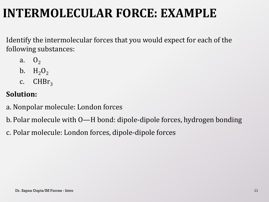#### **INTERMOLECULAR FORCE: EXAMPLE**

Identify the intermolecular forces that you would expect for each of the following substances:

- a.  $0<sub>2</sub>$
- b.  $H_2O_2$
- c.  $CHBr<sub>3</sub>$

#### **Solution:**

- a. Nonpolar molecule: London forces
- b. Polar molecule with O—H bond: dipole-dipole forces, hydrogen bonding
- c. Polar molecule: London forces, dipole-dipole forces